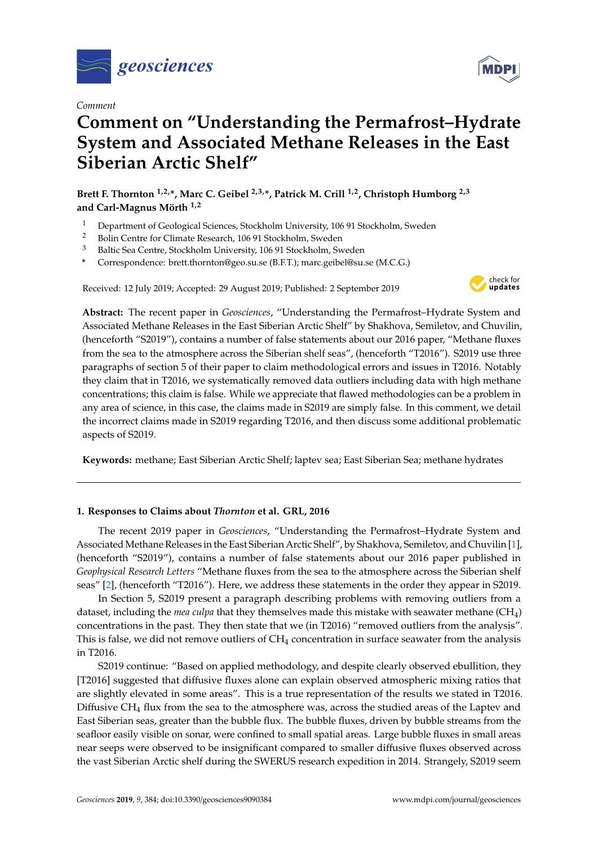

*Comment*

# **Comment on "Understanding the Permafrost–Hydrate System and Associated Methane Releases in the East Siberian Arctic Shelf"**

**Brett F. Thornton 1,2,\*, Marc C. Geibel 2,3,\*, Patrick M. Crill 1,2, Christoph Humborg 2,3 and Carl-Magnus Mörth 1,2**

- <sup>1</sup> Department of Geological Sciences, Stockholm University, 106 91 Stockholm, Sweden<br><sup>2</sup> Bolin Centre for Climate Research 106 91 Stockholm, Sweden
- <sup>2</sup> Bolin Centre for Climate Research, 106 91 Stockholm, Sweden<br><sup>3</sup> Boltia See Centre, Stockholm University, 106.01 Stockholm, Sy
- <sup>3</sup> Baltic Sea Centre, Stockholm University, 106 91 Stockholm, Sweden
- **\*** Correspondence: brett.thornton@geo.su.se (B.F.T.); marc.geibel@su.se (M.C.G.)

Received: 12 July 2019; Accepted: 29 August 2019; Published: 2 September 2019



**Abstract:** The recent paper in *Geosciences*, "Understanding the Permafrost–Hydrate System and Associated Methane Releases in the East Siberian Arctic Shelf" by Shakhova, Semiletov, and Chuvilin, (henceforth "S2019"), contains a number of false statements about our 2016 paper, "Methane fluxes from the sea to the atmosphere across the Siberian shelf seas", (henceforth "T2016"). S2019 use three paragraphs of section 5 of their paper to claim methodological errors and issues in T2016. Notably they claim that in T2016, we systematically removed data outliers including data with high methane concentrations; this claim is false. While we appreciate that flawed methodologies can be a problem in any area of science, in this case, the claims made in S2019 are simply false. In this comment, we detail the incorrect claims made in S2019 regarding T2016, and then discuss some additional problematic aspects of S2019.

**Keywords:** methane; East Siberian Arctic Shelf; laptev sea; East Siberian Sea; methane hydrates

## **1. Responses to Claims about** *Thornton* **et al. GRL, 2016**

The recent 2019 paper in *Geosciences*, "Understanding the Permafrost–Hydrate System and Associated Methane Releases in the East Siberian Arctic Shelf", by Shakhova, Semiletov, and Chuvilin [\[1\]](#page-4-0), (henceforth "S2019"), contains a number of false statements about our 2016 paper published in *Geophysical Research Letters* "Methane fluxes from the sea to the atmosphere across the Siberian shelf seas" [\[2\]](#page-4-1), (henceforth "T2016"). Here, we address these statements in the order they appear in S2019.

In Section 5, S2019 present a paragraph describing problems with removing outliers from a dataset, including the *mea culpa* that they themselves made this mistake with seawater methane (CH4) concentrations in the past. They then state that we (in T2016) "removed outliers from the analysis". This is false, we did not remove outliers of CH<sup>4</sup> concentration in surface seawater from the analysis in T2016.

S2019 continue: "Based on applied methodology, and despite clearly observed ebullition, they [T2016] suggested that diffusive fluxes alone can explain observed atmospheric mixing ratios that are slightly elevated in some areas". This is a true representation of the results we stated in T2016. Diffusive CH<sup>4</sup> flux from the sea to the atmosphere was, across the studied areas of the Laptev and East Siberian seas, greater than the bubble flux. The bubble fluxes, driven by bubble streams from the seafloor easily visible on sonar, were confined to small spatial areas. Large bubble fluxes in small areas near seeps were observed to be insignificant compared to smaller diffusive fluxes observed across the vast Siberian Arctic shelf during the SWERUS research expedition in 2014. Strangely, S2019 seem

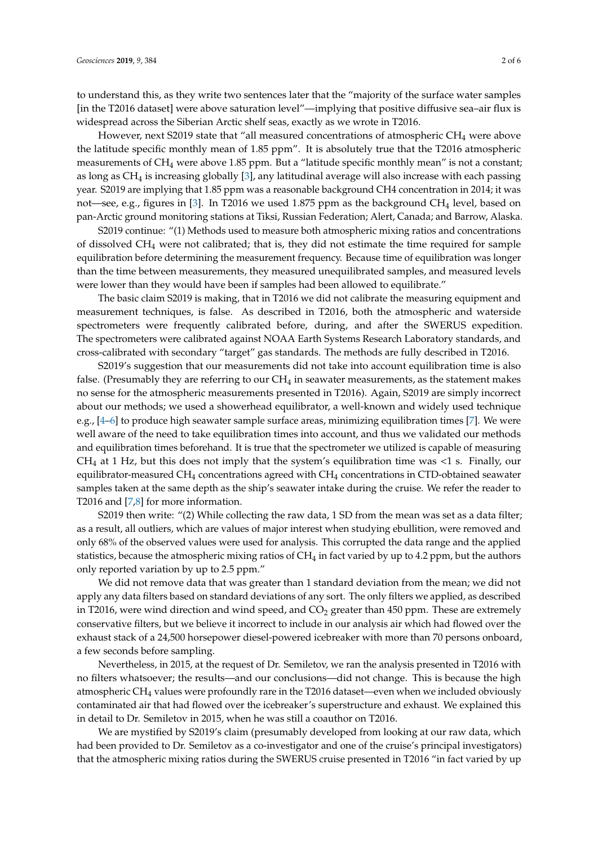to understand this, as they write two sentences later that the "majority of the surface water samples [in the T2016 dataset] were above saturation level"—implying that positive diffusive sea–air flux is widespread across the Siberian Arctic shelf seas, exactly as we wrote in T2016.

However, next S2019 state that "all measured concentrations of atmospheric  $CH_4$  were above the latitude specific monthly mean of 1.85 ppm". It is absolutely true that the T2016 atmospheric measurements of CH<sub>4</sub> were above 1.85 ppm. But a "latitude specific monthly mean" is not a constant; as long as  $CH_4$  is increasing globally [\[3\]](#page-4-2), any latitudinal average will also increase with each passing year. S2019 are implying that 1.85 ppm was a reasonable background CH4 concentration in 2014; it was not—see, e.g., figures in [\[3\]](#page-4-2). In T2016 we used 1.875 ppm as the background CH<sup>4</sup> level, based on pan-Arctic ground monitoring stations at Tiksi, Russian Federation; Alert, Canada; and Barrow, Alaska.

S2019 continue: "(1) Methods used to measure both atmospheric mixing ratios and concentrations of dissolved CH<sup>4</sup> were not calibrated; that is, they did not estimate the time required for sample equilibration before determining the measurement frequency. Because time of equilibration was longer than the time between measurements, they measured unequilibrated samples, and measured levels were lower than they would have been if samples had been allowed to equilibrate."

The basic claim S2019 is making, that in T2016 we did not calibrate the measuring equipment and measurement techniques, is false. As described in T2016, both the atmospheric and waterside spectrometers were frequently calibrated before, during, and after the SWERUS expedition. The spectrometers were calibrated against NOAA Earth Systems Research Laboratory standards, and cross-calibrated with secondary "target" gas standards. The methods are fully described in T2016.

S2019's suggestion that our measurements did not take into account equilibration time is also false. (Presumably they are referring to our  $CH_4$  in seawater measurements, as the statement makes no sense for the atmospheric measurements presented in T2016). Again, S2019 are simply incorrect about our methods; we used a showerhead equilibrator, a well-known and widely used technique e.g., [\[4–](#page-4-3)[6\]](#page-4-4) to produce high seawater sample surface areas, minimizing equilibration times [\[7\]](#page-4-5). We were well aware of the need to take equilibration times into account, and thus we validated our methods and equilibration times beforehand. It is true that the spectrometer we utilized is capable of measuring  $CH<sub>4</sub>$  at 1 Hz, but this does not imply that the system's equilibration time was  $\langle$ 1 s. Finally, our equilibrator-measured  $CH_4$  concentrations agreed with  $CH_4$  concentrations in CTD-obtained seawater samples taken at the same depth as the ship's seawater intake during the cruise. We refer the reader to T2016 and [\[7](#page-4-5)[,8\]](#page-4-6) for more information.

S2019 then write: "(2) While collecting the raw data, 1 SD from the mean was set as a data filter; as a result, all outliers, which are values of major interest when studying ebullition, were removed and only 68% of the observed values were used for analysis. This corrupted the data range and the applied statistics, because the atmospheric mixing ratios of CH<sub>4</sub> in fact varied by up to 4.2 ppm, but the authors only reported variation by up to 2.5 ppm."

We did not remove data that was greater than 1 standard deviation from the mean; we did not apply any data filters based on standard deviations of any sort. The only filters we applied, as described in T2016, were wind direction and wind speed, and  $CO<sub>2</sub>$  greater than 450 ppm. These are extremely conservative filters, but we believe it incorrect to include in our analysis air which had flowed over the exhaust stack of a 24,500 horsepower diesel-powered icebreaker with more than 70 persons onboard, a few seconds before sampling.

Nevertheless, in 2015, at the request of Dr. Semiletov, we ran the analysis presented in T2016 with no filters whatsoever; the results—and our conclusions—did not change. This is because the high atmospheric CH<sup>4</sup> values were profoundly rare in the T2016 dataset—even when we included obviously contaminated air that had flowed over the icebreaker's superstructure and exhaust. We explained this in detail to Dr. Semiletov in 2015, when he was still a coauthor on T2016.

We are mystified by S2019's claim (presumably developed from looking at our raw data, which had been provided to Dr. Semiletov as a co-investigator and one of the cruise's principal investigators) that the atmospheric mixing ratios during the SWERUS cruise presented in T2016 "in fact varied by up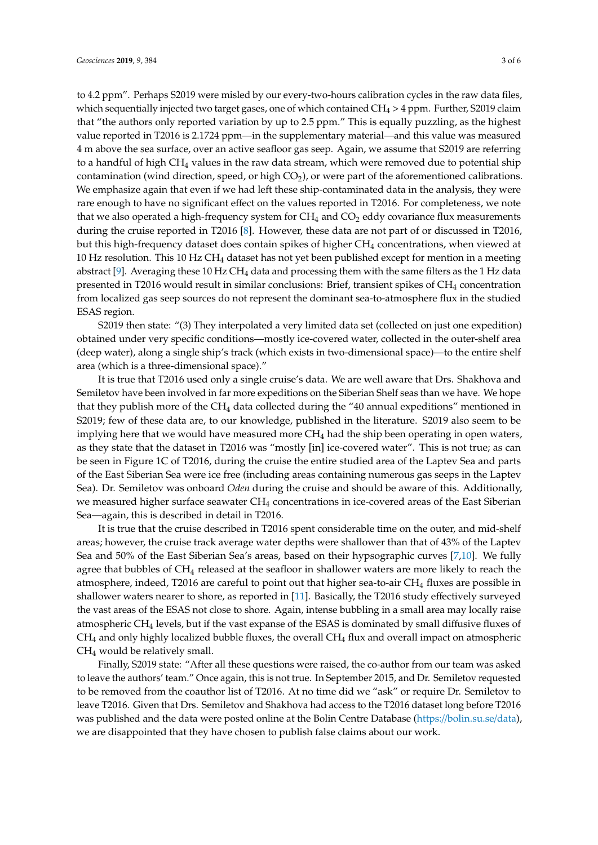to 4.2 ppm". Perhaps S2019 were misled by our every-two-hours calibration cycles in the raw data files, which sequentially injected two target gases, one of which contained  $CH_4 > 4$  ppm. Further, S2019 claim that "the authors only reported variation by up to 2.5 ppm." This is equally puzzling, as the highest value reported in T2016 is 2.1724 ppm—in the supplementary material—and this value was measured 4 m above the sea surface, over an active seafloor gas seep. Again, we assume that S2019 are referring to a handful of high  $CH_4$  values in the raw data stream, which were removed due to potential ship contamination (wind direction, speed, or high  $CO<sub>2</sub>$ ), or were part of the aforementioned calibrations. We emphasize again that even if we had left these ship-contaminated data in the analysis, they were rare enough to have no significant effect on the values reported in T2016. For completeness, we note that we also operated a high-frequency system for  $CH_4$  and  $CO_2$  eddy covariance flux measurements during the cruise reported in T2016 [\[8\]](#page-4-6). However, these data are not part of or discussed in T2016, but this high-frequency dataset does contain spikes of higher  $CH_4$  concentrations, when viewed at 10 Hz resolution. This 10 Hz  $CH_4$  dataset has not yet been published except for mention in a meeting abstract [\[9\]](#page-4-7). Averaging these  $10$  Hz CH<sub>4</sub> data and processing them with the same filters as the 1 Hz data presented in T2016 would result in similar conclusions: Brief, transient spikes of CH<sup>4</sup> concentration from localized gas seep sources do not represent the dominant sea-to-atmosphere flux in the studied ESAS region.

S2019 then state: "(3) They interpolated a very limited data set (collected on just one expedition) obtained under very specific conditions—mostly ice-covered water, collected in the outer-shelf area (deep water), along a single ship's track (which exists in two-dimensional space)—to the entire shelf area (which is a three-dimensional space)."

It is true that T2016 used only a single cruise's data. We are well aware that Drs. Shakhova and Semiletov have been involved in far more expeditions on the Siberian Shelf seas than we have. We hope that they publish more of the  $CH_4$  data collected during the "40 annual expeditions" mentioned in S2019; few of these data are, to our knowledge, published in the literature. S2019 also seem to be implying here that we would have measured more  $CH<sub>4</sub>$  had the ship been operating in open waters, as they state that the dataset in T2016 was "mostly [in] ice-covered water". This is not true; as can be seen in Figure 1C of T2016, during the cruise the entire studied area of the Laptev Sea and parts of the East Siberian Sea were ice free (including areas containing numerous gas seeps in the Laptev Sea). Dr. Semiletov was onboard *Oden* during the cruise and should be aware of this. Additionally, we measured higher surface seawater CH<sub>4</sub> concentrations in ice-covered areas of the East Siberian Sea—again, this is described in detail in T2016.

It is true that the cruise described in T2016 spent considerable time on the outer, and mid-shelf areas; however, the cruise track average water depths were shallower than that of 43% of the Laptev Sea and 50% of the East Siberian Sea's areas, based on their hypsographic curves [\[7](#page-4-5)[,10\]](#page-5-0). We fully agree that bubbles of CH<sub>4</sub> released at the seafloor in shallower waters are more likely to reach the atmosphere, indeed, T2016 are careful to point out that higher sea-to-air CH<sup>4</sup> fluxes are possible in shallower waters nearer to shore, as reported in [\[11\]](#page-5-1). Basically, the T2016 study effectively surveyed the vast areas of the ESAS not close to shore. Again, intense bubbling in a small area may locally raise atmospheric CH<sup>4</sup> levels, but if the vast expanse of the ESAS is dominated by small diffusive fluxes of  $CH<sub>4</sub>$  and only highly localized bubble fluxes, the overall  $CH<sub>4</sub>$  flux and overall impact on atmospheric  $CH<sub>4</sub>$  would be relatively small.

Finally, S2019 state: "After all these questions were raised, the co-author from our team was asked to leave the authors' team." Once again, this is not true. In September 2015, and Dr. Semiletov requested to be removed from the coauthor list of T2016. At no time did we "ask" or require Dr. Semiletov to leave T2016. Given that Drs. Semiletov and Shakhova had access to the T2016 dataset long before T2016 was published and the data were posted online at the Bolin Centre Database (https://[bolin.su.se](https://bolin.su.se/data)/data), we are disappointed that they have chosen to publish false claims about our work.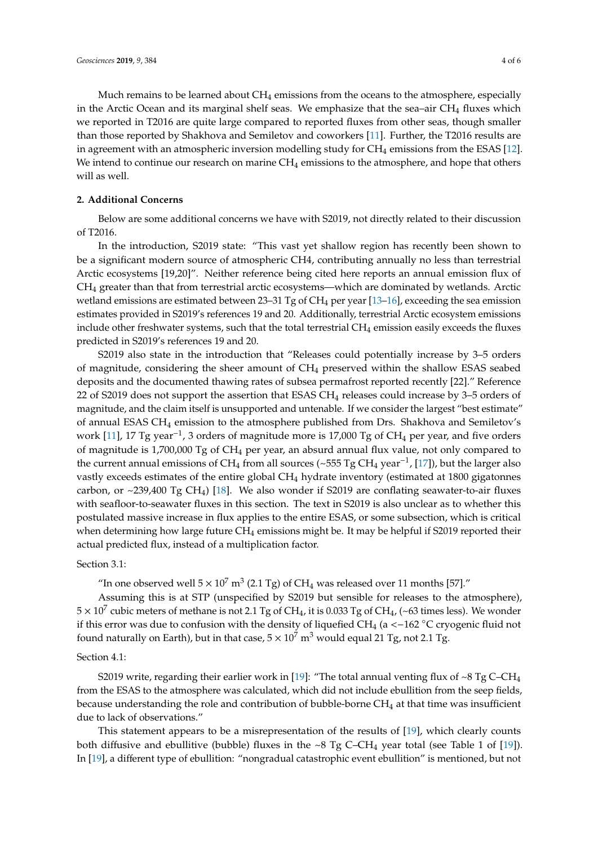Much remains to be learned about  $CH_4$  emissions from the oceans to the atmosphere, especially in the Arctic Ocean and its marginal shelf seas. We emphasize that the sea–air  $CH_4$  fluxes which we reported in T2016 are quite large compared to reported fluxes from other seas, though smaller than those reported by Shakhova and Semiletov and coworkers [\[11\]](#page-5-1). Further, the T2016 results are in agreement with an atmospheric inversion modelling study for  $CH_4$  emissions from the ESAS [\[12\]](#page-5-2). We intend to continue our research on marine  $CH_4$  emissions to the atmosphere, and hope that others will as well.

### **2. Additional Concerns**

Below are some additional concerns we have with S2019, not directly related to their discussion of T2016.

In the introduction, S2019 state: "This vast yet shallow region has recently been shown to be a significant modern source of atmospheric CH4, contributing annually no less than terrestrial Arctic ecosystems [19,20]". Neither reference being cited here reports an annual emission flux of CH<sup>4</sup> greater than that from terrestrial arctic ecosystems—which are dominated by wetlands. Arctic wetland emissions are estimated between 23–31 Tg of  $CH_4$  per year [\[13](#page-5-3)[–16\]](#page-5-4), exceeding the sea emission estimates provided in S2019's references 19 and 20. Additionally, terrestrial Arctic ecosystem emissions include other freshwater systems, such that the total terrestrial CH<sup>4</sup> emission easily exceeds the fluxes predicted in S2019's references 19 and 20.

S2019 also state in the introduction that "Releases could potentially increase by 3–5 orders of magnitude, considering the sheer amount of CH<sup>4</sup> preserved within the shallow ESAS seabed deposits and the documented thawing rates of subsea permafrost reported recently [22]." Reference 22 of S2019 does not support the assertion that ESAS CH<sub>4</sub> releases could increase by 3–5 orders of magnitude, and the claim itself is unsupported and untenable. If we consider the largest "best estimate" of annual ESAS CH<sup>4</sup> emission to the atmosphere published from Drs. Shakhova and Semiletov's work [\[11\]](#page-5-1), 17 Tg year<sup>-1</sup>, 3 orders of magnitude more is 17,000 Tg of CH<sub>4</sub> per year, and five orders of magnitude is 1,700,000 Tg of CH<sup>4</sup> per year, an absurd annual flux value, not only compared to the current annual emissions of CH<sub>4</sub> from all sources (~555 Tg CH<sub>4</sub> year<sup>-1</sup>, [\[17\]](#page-5-5)), but the larger also vastly exceeds estimates of the entire global CH<sup>4</sup> hydrate inventory (estimated at 1800 gigatonnes carbon, or  $\sim$ 239,400 Tg CH<sub>4</sub>) [\[18\]](#page-5-6). We also wonder if S2019 are conflating seawater-to-air fluxes with seafloor-to-seawater fluxes in this section. The text in S2019 is also unclear as to whether this postulated massive increase in flux applies to the entire ESAS, or some subsection, which is critical when determining how large future CH<sub>4</sub> emissions might be. It may be helpful if S2019 reported their actual predicted flux, instead of a multiplication factor.

#### Section 3.1:

"In one observed well  $5 \times 10^7$  m<sup>3</sup> (2.1 Tg) of CH<sub>4</sub> was released over 11 months [57]."

Assuming this is at STP (unspecified by S2019 but sensible for releases to the atmosphere),  $5 \times 10^7$  cubic meters of methane is not 2.1 Tg of CH<sub>4</sub>, it is 0.033 Tg of CH<sub>4</sub>, (~63 times less). We wonder if this error was due to confusion with the density of liquefied CH<sub>4</sub> (a < $-162$  °C cryogenic fluid not found naturally on Earth), but in that case,  $5 \times 10^7$  m<sup>3</sup> would equal 21 Tg, not 2.1 Tg.

#### Section 4.1:

S2019 write, regarding their earlier work in [\[19\]](#page-5-7): "The total annual venting flux of  $\sim 8 \text{ Tg C}$ -CH<sub>4</sub> from the ESAS to the atmosphere was calculated, which did not include ebullition from the seep fields, because understanding the role and contribution of bubble-borne  $CH<sub>4</sub>$  at that time was insufficient due to lack of observations."

This statement appears to be a misrepresentation of the results of [\[19\]](#page-5-7), which clearly counts both diffusive and ebullitive (bubble) fluxes in the ~8 Tg C–CH<sub>4</sub> year total (see Table 1 of [\[19\]](#page-5-7)). In [\[19\]](#page-5-7), a different type of ebullition: "nongradual catastrophic event ebullition" is mentioned, but not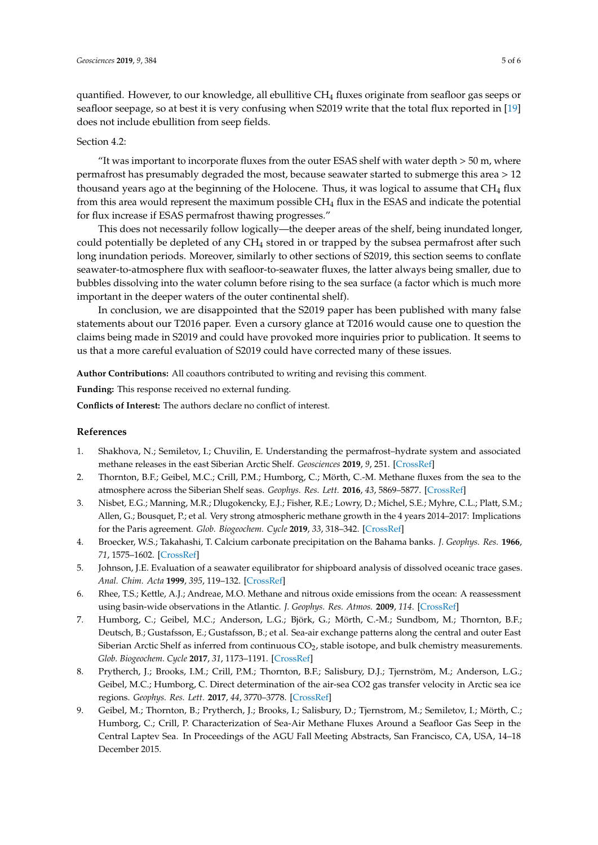quantified. However, to our knowledge, all ebullitive  $CH_4$  fluxes originate from seafloor gas seeps or seafloor seepage, so at best it is very confusing when S2019 write that the total flux reported in [\[19\]](#page-5-7) does not include ebullition from seep fields.

#### Section  $4.2$

"It was important to incorporate fluxes from the outer ESAS shelf with water depth  $>$  50 m, where permafrost has presumably degraded the most, because seawater started to submerge this area > 12 thousand years ago at the beginning of the Holocene. Thus, it was logical to assume that  $CH_4$  flux from this area would represent the maximum possible  $CH<sub>4</sub>$  flux in the ESAS and indicate the potential for flux increase if ESAS permafrost thawing progresses."

This does not necessarily follow logically—the deeper areas of the shelf, being inundated longer, could potentially be depleted of any CH<sup>4</sup> stored in or trapped by the subsea permafrost after such long inundation periods. Moreover, similarly to other sections of S2019, this section seems to conflate seawater-to-atmosphere flux with seafloor-to-seawater fluxes, the latter always being smaller, due to bubbles dissolving into the water column before rising to the sea surface (a factor which is much more important in the deeper waters of the outer continental shelf).

In conclusion, we are disappointed that the S2019 paper has been published with many false statements about our T2016 paper. Even a cursory glance at T2016 would cause one to question the claims being made in S2019 and could have provoked more inquiries prior to publication. It seems to us that a more careful evaluation of S2019 could have corrected many of these issues.

**Author Contributions:** All coauthors contributed to writing and revising this comment.

**Funding:** This response received no external funding.

**Conflicts of Interest:** The authors declare no conflict of interest.

#### **References**

- <span id="page-4-0"></span>1. Shakhova, N.; Semiletov, I.; Chuvilin, E. Understanding the permafrost–hydrate system and associated methane releases in the east Siberian Arctic Shelf. *Geosciences* **2019**, *9*, 251. [\[CrossRef\]](http://dx.doi.org/10.3390/geosciences9060251)
- <span id="page-4-1"></span>2. Thornton, B.F.; Geibel, M.C.; Crill, P.M.; Humborg, C.; Mörth, C.-M. Methane fluxes from the sea to the atmosphere across the Siberian Shelf seas. *Geophys. Res. Lett.* **2016**, *43*, 5869–5877. [\[CrossRef\]](http://dx.doi.org/10.1002/2016GL068977)
- <span id="page-4-2"></span>3. Nisbet, E.G.; Manning, M.R.; Dlugokencky, E.J.; Fisher, R.E.; Lowry, D.; Michel, S.E.; Myhre, C.L.; Platt, S.M.; Allen, G.; Bousquet, P.; et al. Very strong atmospheric methane growth in the 4 years 2014–2017: Implications for the Paris agreement. *Glob. Biogeochem. Cycle* **2019**, *33*, 318–342. [\[CrossRef\]](http://dx.doi.org/10.1029/2018GB006009)
- <span id="page-4-3"></span>4. Broecker, W.S.; Takahashi, T. Calcium carbonate precipitation on the Bahama banks. *J. Geophys. Res.* **1966**, *71*, 1575–1602. [\[CrossRef\]](http://dx.doi.org/10.1029/JZ071i006p01575)
- 5. Johnson, J.E. Evaluation of a seawater equilibrator for shipboard analysis of dissolved oceanic trace gases. *Anal. Chim. Acta* **1999**, *395*, 119–132. [\[CrossRef\]](http://dx.doi.org/10.1016/S0003-2670(99)00361-X)
- <span id="page-4-4"></span>6. Rhee, T.S.; Kettle, A.J.; Andreae, M.O. Methane and nitrous oxide emissions from the ocean: A reassessment using basin-wide observations in the Atlantic. *J. Geophys. Res. Atmos.* **2009**, *114*. [\[CrossRef\]](http://dx.doi.org/10.1029/2008JD011662)
- <span id="page-4-5"></span>7. Humborg, C.; Geibel, M.C.; Anderson, L.G.; Björk, G.; Mörth, C.-M.; Sundbom, M.; Thornton, B.F.; Deutsch, B.; Gustafsson, E.; Gustafsson, B.; et al. Sea-air exchange patterns along the central and outer East Siberian Arctic Shelf as inferred from continuous CO<sub>2</sub>, stable isotope, and bulk chemistry measurements. *Glob. Biogeochem. Cycle* **2017**, *31*, 1173–1191. [\[CrossRef\]](http://dx.doi.org/10.1002/2017GB005656)
- <span id="page-4-6"></span>8. Prytherch, J.; Brooks, I.M.; Crill, P.M.; Thornton, B.F.; Salisbury, D.J.; Tjernström, M.; Anderson, L.G.; Geibel, M.C.; Humborg, C. Direct determination of the air-sea CO2 gas transfer velocity in Arctic sea ice regions. *Geophys. Res. Lett.* **2017**, *44*, 3770–3778. [\[CrossRef\]](http://dx.doi.org/10.1002/2017GL073593)
- <span id="page-4-7"></span>9. Geibel, M.; Thornton, B.; Prytherch, J.; Brooks, I.; Salisbury, D.; Tjernstrom, M.; Semiletov, I.; Mörth, C.; Humborg, C.; Crill, P. Characterization of Sea-Air Methane Fluxes Around a Seafloor Gas Seep in the Central Laptev Sea. In Proceedings of the AGU Fall Meeting Abstracts, San Francisco, CA, USA, 14–18 December 2015.